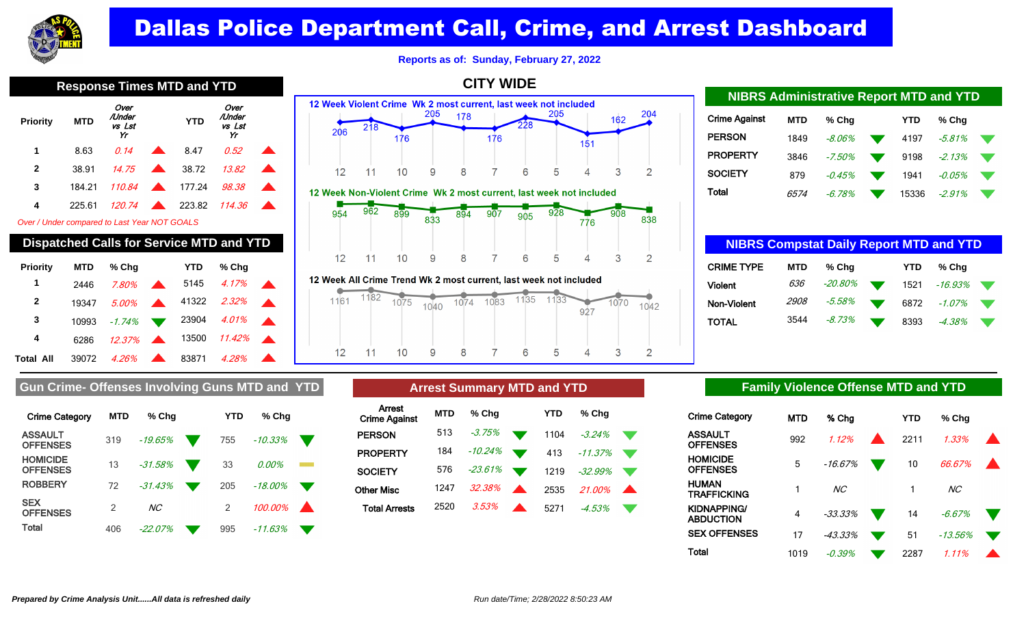

**Reports as of: Sunday, February 27, 2022**

**CITY WIDE**

**Priority MTD** Over /Under vs Lst Yr  **YTD** Over /Under vs Lst Yr **1** 8.63 0.14 8.47 0.52 **2** 38.91 *14.75* **1** 38.72 *13.82* **3** 184.21 110.84 **177.24** 98.38 **4** 225.61 120.74 223.82 114.36

Over / Under compared to Last Year NOT GOALS

### **Dispatched Calls for Service MTD and YTD**

| <b>Priority</b>  | <b>MTD</b> | % Chq                |                        | <b>YTD</b> | % Cha             |  |
|------------------|------------|----------------------|------------------------|------------|-------------------|--|
| 1                | 2446       | 7.80%                | <b>START CONTINUES</b> |            | 5145 <i>4.17%</i> |  |
| 2                | 19347      | 5.00%                |                        |            | 41322 2.32%       |  |
| 3                | 10993      | $-1.74\%$            |                        |            | 23904 4.01%       |  |
| 4                | 6286       | $12.37\%$            |                        | 13500      | $11.42\%$         |  |
| <b>Total All</b> | 39072      | $4.26\%$ $\triangle$ |                        | 83871      | 4.28%             |  |

### 12 Week Violent Crime Wk 2 most current, last week not included 205 205 204 178 162  $218$ 206 176 176 151  $12$ 8 5 3  $11$  $10$ 9 7 6  $\overline{2}$ Δ 12 Week Non-Violent Crime Wk 2 most current, last week not included  $962$ 899  $928$ 954 894  $907$  $908$ 833 905 838 776 8  $\overline{2}$  $12$  $11$  $10$ 9 7 6 5  $\Delta$ 3

12 Week All Crime Trend Wk 2 most current, last week not included



| <b>NIBRS Administrative Report MTD and YTD</b> |            |           |  |       |           |  |  |  |  |  |  |  |  |
|------------------------------------------------|------------|-----------|--|-------|-----------|--|--|--|--|--|--|--|--|
| <b>Crime Against</b>                           | <b>MTD</b> | % Cha     |  | YTD   | % Cha     |  |  |  |  |  |  |  |  |
| <b>PERSON</b>                                  | 1849       | $-8.06\%$ |  | 4197  | -5.81%    |  |  |  |  |  |  |  |  |
| <b>PROPERTY</b>                                | 3846       | $-7.50%$  |  | 9198  | $-2.13%$  |  |  |  |  |  |  |  |  |
| <b>SOCIETY</b>                                 | 879        | $-0.45%$  |  | 1941  | $-0.05\%$ |  |  |  |  |  |  |  |  |
| Total                                          | 6574       | -6.78%    |  | 15336 | -2.91%    |  |  |  |  |  |  |  |  |

| <b>NIBRS Compstat Daily Report MTD and YTD</b> |             |            |  |      |            |  |  |  |  |  |  |  |
|------------------------------------------------|-------------|------------|--|------|------------|--|--|--|--|--|--|--|
| <b>CRIME TYPE</b>                              | MTD         | % Chq      |  | YTD  | % Cha      |  |  |  |  |  |  |  |
| <b>Violent</b>                                 | 636         | $-20.80\%$ |  | 1521 | $-16.93\%$ |  |  |  |  |  |  |  |
| Non-Violent                                    | <i>2908</i> | -5.58%     |  | 6872 | $-1.07\%$  |  |  |  |  |  |  |  |
| TOTAL                                          | 3544        | -8.73%     |  | 8393 | $-4.38\%$  |  |  |  |  |  |  |  |

### Gun Crime- Offenses Involving Guns MTD and YTD **Arrest Summary MTD and YTD Family Violence Offense MTD and YTD**

| <b>Crime Category</b>              | <b>MTD</b>    | % Cha          | YTD           | % Cha      |  |
|------------------------------------|---------------|----------------|---------------|------------|--|
| <b>ASSAULT</b><br><b>OFFENSES</b>  | 319           | $-19.65%$      | 755           | $-10.33\%$ |  |
| <b>HOMICIDE</b><br><b>OFFENSES</b> | 13            | $-31.58%$      | 33            | 0.00%      |  |
| <b>ROBBERY</b>                     | 72            | $-31.43%$      | 205           | $-18.00\%$ |  |
| <b>SEX</b><br><b>OFFENSES</b>      | $\mathcal{P}$ | NC <sub></sub> | $\mathcal{P}$ | 100.00%    |  |
| Total                              | 406           | -22.07%        | 995           | -11.63%    |  |

|                                | <b>Arrest Summary MTD and YTD</b> |           |  |      |               |  |  |  |  |  |  |  |
|--------------------------------|-----------------------------------|-----------|--|------|---------------|--|--|--|--|--|--|--|
| Arrest<br><b>Crime Against</b> | <b>MTD</b>                        | % Chq     |  | YTD  | % Cha         |  |  |  |  |  |  |  |
| <b>PERSON</b>                  | 513                               | $-3.75\%$ |  | 1104 | $-3.24%$      |  |  |  |  |  |  |  |
| <b>PROPERTY</b>                | 184                               | -10.24%   |  | 413  | $-11.37%$     |  |  |  |  |  |  |  |
| <b>SOCIETY</b>                 | 576                               | -23.61%   |  | 1219 | $-32.99\%$    |  |  |  |  |  |  |  |
| <b>Other Misc</b>              | 1247                              | 32.38%    |  | 2535 | <i>21 በበ%</i> |  |  |  |  |  |  |  |
| <b>Total Arrests</b>           | 2520                              | 3.53%     |  | 5271 | $-4.53\%$     |  |  |  |  |  |  |  |

| <b>Crime Category</b>    | MTD  | % Chg           | <b>YTD</b> | % Cha          |  |
|--------------------------|------|-----------------|------------|----------------|--|
| ASSAULT<br>OFFENSES      | 992  | 1.12%           | 2211       | 1.33%          |  |
| HOMICIDE<br>OFFENSES     | 5    | $-16.67%$       | 10         | 66.67%         |  |
| HUMAN<br>TRAFFICKING     |      | NC <sub>1</sub> |            | NC <sub></sub> |  |
| KIDNAPPING/<br>ABDUCTION | 4    | $-33.33%$       | 14         | $-6.67%$       |  |
| <b>SEX OFFENSES</b>      | 17   | $-43.33%$       | 51         | $-13.56\%$     |  |
| Total                    | 1019 | $-0.39\%$       | 2287       | 1.11%          |  |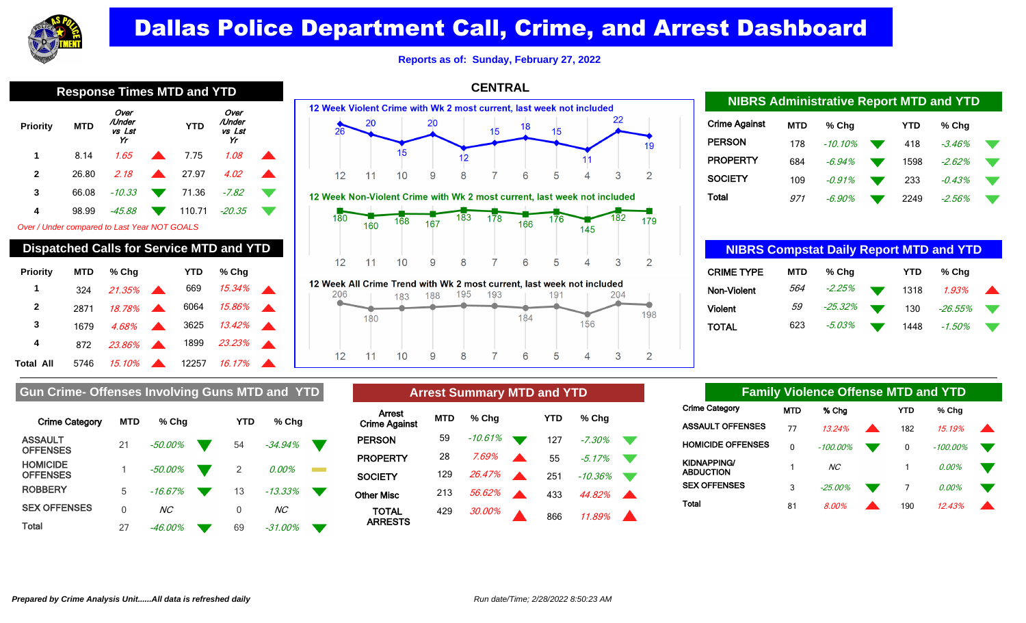

**Reports as of: Sunday, February 27, 2022**

|                                              | <b>Response Times MTD and YTD</b> |                                                 |   |            |                                |  |  |  |  |  |  |  |  |
|----------------------------------------------|-----------------------------------|-------------------------------------------------|---|------------|--------------------------------|--|--|--|--|--|--|--|--|
| Priority                                     | <b>MTD</b>                        | Over<br>/Under<br>vs Lst<br>Yr                  |   | <b>YTD</b> | Over<br>/Under<br>vs Lst<br>Yr |  |  |  |  |  |  |  |  |
| 1                                            | 8.14                              | 1.65                                            |   | 7.75       | 1.08                           |  |  |  |  |  |  |  |  |
| $\mathbf{2}$                                 | 26.80                             | 2.18                                            | A | 27.97      | 4.02                           |  |  |  |  |  |  |  |  |
| 3                                            | 66.08                             | $-10.33$                                        |   | 71.36      | -7.82                          |  |  |  |  |  |  |  |  |
| 4                                            | 98.99                             | -45.88                                          |   | 110.71     | $-20.35$                       |  |  |  |  |  |  |  |  |
| Over / Under compared to Last Year NOT GOALS |                                   |                                                 |   |            |                                |  |  |  |  |  |  |  |  |
|                                              |                                   | <b>Dispatched Calls for Service MTD and YTD</b> |   |            |                                |  |  |  |  |  |  |  |  |
| <b>Priority</b><br>1                         | <b>MTD</b><br>324                 | % Chq<br>21.35%                                 |   | YTD<br>669 | % Cha<br>15.34%                |  |  |  |  |  |  |  |  |
|                                              |                                   |                                                 |   |            |                                |  |  |  |  |  |  |  |  |



 $12$ 

 $11$ 

 $10$ 

9

8

| <b>Crime Against</b> | <b>MTD</b> | % Cha      | YTD  | % Cha    |  |
|----------------------|------------|------------|------|----------|--|
| <b>PERSON</b>        | 178        | $-10.10\%$ | 418  | -3.46%   |  |
| <b>PROPERTY</b>      | 684        | $-6.94\%$  | 1598 | $-2.62%$ |  |
| <b>SOCIETY</b>       | 109        | -0.91%     | 233  | $-0.43%$ |  |
| <b>Total</b>         | 971        | -6.90%     | 2249 | -2.56%   |  |

**NIBRS Administrative Report MTD and YTD**

| <b>NIBRS Compstat Daily Report MTD and YTD</b> |            |         |  |      |          |  |  |  |  |  |  |  |
|------------------------------------------------|------------|---------|--|------|----------|--|--|--|--|--|--|--|
| <b>CRIME TYPE</b>                              | <b>MTD</b> | % Chq   |  | YTD  | % Cha    |  |  |  |  |  |  |  |
| Non-Violent                                    | 564        | -2.25%  |  | 1318 | $1.93\%$ |  |  |  |  |  |  |  |
| <b>Violent</b>                                 | 59         | -25.32% |  | 130  | -26.55%  |  |  |  |  |  |  |  |
| TOTAL                                          | 623        | -5.03%  |  | 1448 | -1.50%   |  |  |  |  |  |  |  |

|  | Gun Crime- Offenses Involving Guns MTD and YTD |  |  |
|--|------------------------------------------------|--|--|
|  |                                                |  |  |

2871 18.78% 6064 15.86%

**Total All**  5746 15.10% **12257 16.17%** 

**3** 1679 4.68% **3** 3625 13.42% **4** 872 23.86% 1899 23.23%

| <b>Crime Category</b>              | <b>MTD</b> | % Cha           | YTD | % Cha     |  |
|------------------------------------|------------|-----------------|-----|-----------|--|
| <b>ASSAULT</b><br><b>OFFENSES</b>  | 21         | $-50.00\%$      | 54  | $-34.94%$ |  |
| <b>HOMICIDE</b><br><b>OFFENSES</b> |            | $-50.00\%$      | 2   | 0.00%     |  |
| <b>ROBBERY</b>                     | 5          | $-16.67%$       | 13  | $-13.33%$ |  |
| <b>SEX OFFENSES</b>                | $\Omega$   | NC <sub>1</sub> | 0   | NC.       |  |
| Total                              | 27         | -46.00%         | 69  | -31.00%   |  |

| Gun Crime- Offenses Involving Guns MTD and YTD |            |            |        | <b>Arrest Summary MTD and YTD</b> |           |                      |            |         | <b>Family Violence Offense MTD and YTD</b> |     |                       |  |                                        |            |             |  |            |          |
|------------------------------------------------|------------|------------|--------|-----------------------------------|-----------|----------------------|------------|---------|--------------------------------------------|-----|-----------------------|--|----------------------------------------|------------|-------------|--|------------|----------|
| <b>Crime Category</b>                          | <b>MTD</b> | % Chq      | YTD    | % Chq                             |           | Arrest               | <b>MTD</b> | $%$ Chq |                                            | YTD | % Chg                 |  | <b>Crime Category</b>                  | <b>MTD</b> | % Cha       |  | <b>YTD</b> | % Chg    |
|                                                |            |            |        |                                   |           | <b>Crime Against</b> |            |         |                                            |     |                       |  | <b>ASSAULT OFFENSES</b>                |            | 13.24%      |  | 182        | 15.19%   |
| <b>ASSAULT</b><br><b>OFFENSES</b>              | 21         | $-50.00%$  | 54     | $-34.94%$                         |           | <b>PERSON</b>        | 59         | -10.61% |                                            | 127 | $-7.30%$              |  | <b>HOMICIDE OFFENSES</b>               |            | $-100.00\%$ |  | 0          | -100.00% |
|                                                |            |            |        |                                   |           | <b>PROPERTY</b>      | 28         | 7.69%   |                                            | 55  | $-5.17%$              |  |                                        |            |             |  |            |          |
| <b>HOMICIDE</b>                                |            | $-50.00\%$ |        | 0.00%                             | an an Sil |                      |            |         |                                            |     |                       |  | <b>KIDNAPPING/</b><br><b>ABDUCTION</b> |            | <b>NC</b>   |  |            | $0.00\%$ |
| <b>OFFENSES</b>                                |            |            |        |                                   |           | <b>SOCIETY</b>       | 129        | 26.47%  |                                            | 251 | -10.36%               |  |                                        |            |             |  |            |          |
| <b>ROBBERY</b>                                 |            | -16.67%    | 13     | $-13.33\%$                        |           | <b>Other Misc</b>    | 213        | 56.62%  |                                            | 433 | 44.82%                |  | <b>SEX OFFENSES</b>                    |            | $-25.00\%$  |  |            | 0.00%    |
| <b>SEX OFFENSES</b>                            |            | NC         |        | <b>NC</b>                         |           | <b>TOTAL</b>         | 429        | 30.00%  |                                            |     |                       |  | <b>Total</b>                           | 81         | 8.00%       |  | 190        | 12.43%   |
| Total                                          | $\sim$     | 10.000     | $\sim$ | 24.0001                           |           | <b>ARRESTS</b>       |            |         |                                            | 866 | $11.89\%$ $\triangle$ |  |                                        |            |             |  |            |          |

 $\overline{7}$ 

6

5

| <b>Family Violence Offense MTD and YTD</b> |     |                |  |              |             |  |  |  |  |  |
|--------------------------------------------|-----|----------------|--|--------------|-------------|--|--|--|--|--|
| Crime Category                             | MTD | % Cha          |  | YTD          | % Chq       |  |  |  |  |  |
| ASSAULT OFFENSES                           | 77  | 1.324%         |  | 182          | 15 19%      |  |  |  |  |  |
| <b>HOMICIDE OFFENSES</b>                   | 0   | $-100.00\%$    |  | $\mathbf{0}$ | $-100.00\%$ |  |  |  |  |  |
| KIDNAPPING/<br>ABDUCTION                   |     | NC <sub></sub> |  |              | 0.00%       |  |  |  |  |  |
| <b>SEX OFFENSES</b>                        | 3   | $-25.00%$      |  | 7            | $0.00\%$    |  |  |  |  |  |
| Total                                      | 81  | 8 00%          |  | 190          | 124.3%      |  |  |  |  |  |

156

 $\overline{4}$ 

3

 $\overline{2}$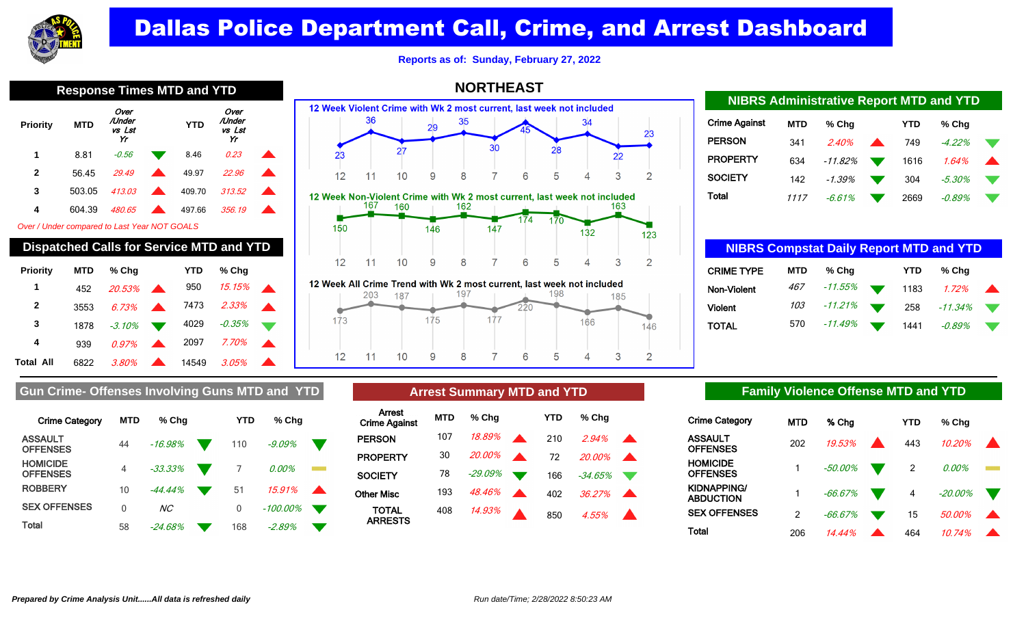

**Reports as of: Sunday, February 27, 2022**

Over Over /Under /Under  **YTD Priority MTD** vs Lst vs Lst Yr Yr **1** 8.81 - 0.56 **8.46** 0.23 ▲ **2** 56.45 29.49 **1** 49.97 22.96 **3** 503.05 413.03 **413.03** 409.70 313.52 **4** 604.39 480.65 497.66 356.19

Over / Under compared to Last Year NOT GOALS

| <b>Dispatched Calls for Service MTD and YTD</b> |            |          |  |       |        |  |  |  |  |  |
|-------------------------------------------------|------------|----------|--|-------|--------|--|--|--|--|--|
| Priority                                        | <b>MTD</b> | % Cha    |  | YTD   | % Cha  |  |  |  |  |  |
| 1                                               | 452        | 20.53%   |  | 950   | 15.15% |  |  |  |  |  |
| 2                                               | 3553       | 6.73%    |  | 7473  | 2.33%  |  |  |  |  |  |
| 3                                               | 1878       | $-3.10%$ |  | 4029  | -0.35% |  |  |  |  |  |
| 4                                               | 939        | $0.97\%$ |  | 2097  | 7.70%  |  |  |  |  |  |
| Total All                                       | 6822       | 3.80%    |  | 14549 | 3.05%  |  |  |  |  |  |



12 Week All Crime Trend with Wk 2 most current, last week not included 197 198 203 187 185  $220$  $173$ 175 177 166 146  $12$ 9 8  $\overline{7}$ 6 5 3  $\overline{2}$  $11$  $10$  $\overline{4}$ 

| <b>NIDRO AUTHINISTIQUE REPORT MIT D'AIR L'ID</b> |            |            |                          |            |           |  |  |  |  |  |
|--------------------------------------------------|------------|------------|--------------------------|------------|-----------|--|--|--|--|--|
| Crime Against                                    | <b>MTD</b> | $%$ Chq    |                          | <b>YTD</b> | $%$ Chq   |  |  |  |  |  |
| <b>PERSON</b>                                    | 341        | 2.40%      | $\overline{\phantom{a}}$ | 749        | $-4.22%$  |  |  |  |  |  |
| <b>PROPERTY</b>                                  | 634        | $-11.82\%$ | $\mathbf{v}$             | 1616       | 1.64%     |  |  |  |  |  |
| SOCIETY                                          | 142        | -1.39%     |                          | 304        | $-5.30\%$ |  |  |  |  |  |
| Total                                            | 1117       | $-6.61%$   |                          | 2669       | $-0.89\%$ |  |  |  |  |  |

**NIBRS Administrative Report MTD and YTD**

| <b>NIBRS Compstat Daily Report MTD and YTD</b> |            |            |                          |            |            |    |  |  |  |  |
|------------------------------------------------|------------|------------|--------------------------|------------|------------|----|--|--|--|--|
| <b>CRIME TYPE</b>                              | <b>MTD</b> | % Chq      |                          | <b>YTD</b> | % Chq      |    |  |  |  |  |
| Non-Violent                                    | 467        | -11.55%    | $\overline{\phantom{a}}$ | 1183       | 1.72%      |    |  |  |  |  |
| <b>Violent</b>                                 | 103        | $-11.21\%$ |                          | 258        | $-11.34\%$ | v. |  |  |  |  |
| <b>TOTAL</b>                                   | 570        | -11.49%    |                          | 1441       | $-0.89\%$  |    |  |  |  |  |

### Gun Crime- Offenses Involving Guns MTD and YTD **Arrest Summary MTD and YTD Family Violence Offense MTD and YTD**

| <b>Crime Category</b>              | <b>MTD</b> | % Cha          | YTD | % Chq     |  |
|------------------------------------|------------|----------------|-----|-----------|--|
| <b>ASSAULT</b><br><b>OFFENSES</b>  | 44         | $-16.98%$      | 110 | $-9.09\%$ |  |
| <b>HOMICIDE</b><br><b>OFFENSES</b> | 4          | $-33.33%$      |     | 0.00%     |  |
| <b>ROBBERY</b>                     | 10         | $-44.44%$      | 51  | 15.91%    |  |
| <b>SEX OFFENSES</b>                | U          | NC <sub></sub> | 0   | -100.00%  |  |
| Total                              | 58         | $-24.68%$      | 168 | $-2.89%$  |  |

|        |     | <b>Arrest Summary MTD and YTD</b> |     |       |
|--------|-----|-----------------------------------|-----|-------|
| Arrest | MTD | % Cha                             | YTD | % Cha |

| мюж<br><b>Crime Against</b>    | <b>MTD</b> | $%$ Chg |                          | <b>YTD</b> | % Cha        |  |
|--------------------------------|------------|---------|--------------------------|------------|--------------|--|
| <b>PERSON</b>                  | 107        | 18.89%  | $\overline{\phantom{a}}$ | 210        | $2.94\%$     |  |
| <b>PROPERTY</b>                | 30         | 20.00%  | $\mathbf{A}$             | 72         | 20.00%       |  |
| <b>SOCIETY</b>                 | 78         | -29.09% |                          |            | 166 - 34.65% |  |
| Other Misc                     | 193        | 48.46%  |                          | 402        | $36.27\%$    |  |
| <b>TOTAL</b><br><b>ARRESTS</b> | 408        | 14.93%  |                          | 850        | 4.55%        |  |

| Crime Category           | <b>MTD</b> | % Cha      | YTD | % Chq     |  |
|--------------------------|------------|------------|-----|-----------|--|
| ASSAULT<br>OFFENSES      | 202        | 19.53%     | 443 | 10.20%    |  |
| HOMICIDE<br>OFFENSES     |            | $-50.00\%$ | 2   | 0.00%     |  |
| KIDNAPPING/<br>ABDUCTION |            | $-66.67%$  | 4   | $-20.00%$ |  |
| <b>SEX OFFENSES</b>      | 2          | $-66.67\%$ | 15  | 50.00%    |  |
| Total                    | 206        | 14.44%     | 464 | 10.74%    |  |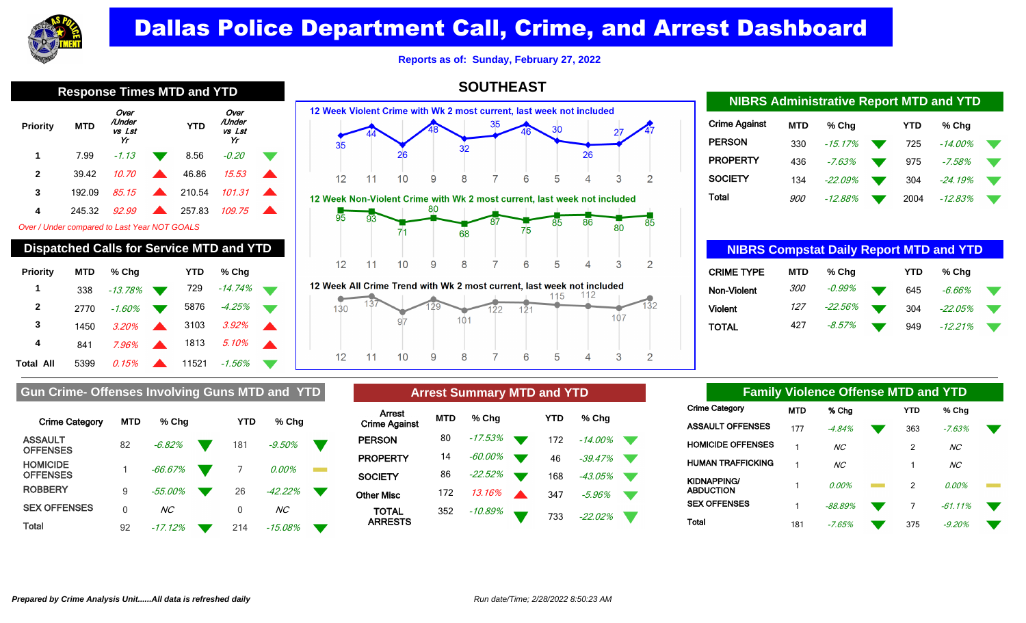

**Reports as of: Sunday, February 27, 2022**

**SOUTHEAST**

|                                              | Response Three MTD and TTD                     |                                |  |            |                                |  |  |  |  |  |  |
|----------------------------------------------|------------------------------------------------|--------------------------------|--|------------|--------------------------------|--|--|--|--|--|--|
| Priority                                     | <b>MTD</b>                                     | Over<br>/Under<br>vs Lst<br>Yr |  | <b>YTD</b> | Over<br>/Under<br>vs Lst<br>Yr |  |  |  |  |  |  |
| 1                                            | 7.99                                           | $-1.13$                        |  | 8.56       | -0.20                          |  |  |  |  |  |  |
| $\mathbf{2}$                                 | 39.42                                          | 10.70                          |  | 46.86      | 15.53                          |  |  |  |  |  |  |
| 3                                            | 192.09                                         | 85.15                          |  | 210.54     | 101.31                         |  |  |  |  |  |  |
| 4                                            | 245.32                                         | 92.99                          |  | 257.83     | 109.75                         |  |  |  |  |  |  |
| Over / Under compared to Last Year NOT GOALS |                                                |                                |  |            |                                |  |  |  |  |  |  |
|                                              | <b>Dispatched Calls for Service MTD and YT</b> |                                |  |            |                                |  |  |  |  |  |  |

| <b>Priority</b>  | <b>MTD</b> | % Chq        | <b>YTD</b> | % Cha     |  |
|------------------|------------|--------------|------------|-----------|--|
| 1                | 338        | $-13.78%$    | 729        | $-14.74%$ |  |
| $\mathbf{2}$     | 2770       | $-1.60\%$    | 5876       | -4.25%    |  |
| 3                | 1450       | 3.20%        | 3103       | 3.92%     |  |
| 4                | 841        | <b>7.96%</b> | 1813       | 5.10%     |  |
| <b>Total All</b> | 5399       | 0.15%        | 11521      | -1.56%    |  |



| eek All Crime Trend with Wk 2 most current, last week not included |  |  |  |  |  |  |  |  |  |  |
|--------------------------------------------------------------------|--|--|--|--|--|--|--|--|--|--|
|                                                                    |  |  |  |  |  |  |  |  |  |  |
|                                                                    |  |  |  |  |  |  |  |  |  |  |

| <b>NIBRS Administrative Report MTD and YTD</b> |            |           |  |            |            |  |  |  |  |  |
|------------------------------------------------|------------|-----------|--|------------|------------|--|--|--|--|--|
| <b>Crime Against</b>                           | <b>MTD</b> | % Cha     |  | <b>YTD</b> | % Cha      |  |  |  |  |  |
| <b>PERSON</b>                                  | 330        | $-15.17%$ |  | 725        | $-14.00\%$ |  |  |  |  |  |
| <b>PROPERTY</b>                                | 436        | $-7.63%$  |  | 975        | $-7.58%$   |  |  |  |  |  |
| <b>SOCIETY</b>                                 | 134        | $-22.09%$ |  | 304        | $-24.19%$  |  |  |  |  |  |
| Total                                          | <i>900</i> | $-12.88%$ |  | 2004       | $-12.83%$  |  |  |  |  |  |

| <b>NIBRS Compstat Daily Report MTD and YTD</b> |            |         |  |            |            |  |  |  |
|------------------------------------------------|------------|---------|--|------------|------------|--|--|--|
| <b>CRIME TYPE</b>                              | <b>MTD</b> | % Chq   |  | <b>YTD</b> | % Cha      |  |  |  |
| Non-Violent                                    | <i>300</i> | -0.99%  |  | 645        | -6.66%     |  |  |  |
| <b>Violent</b>                                 | 127        | -22.56% |  | 304        | $-22.05\%$ |  |  |  |
| <b>TOTAL</b>                                   | 427        | -8.57%  |  | 949        | $-12.21%$  |  |  |  |

| <b>Crime Category</b>              | <b>MTD</b> | % Cha          | YTD | $%$ Chq        |  |
|------------------------------------|------------|----------------|-----|----------------|--|
| <b>ASSAULT</b><br><b>OFFENSES</b>  | 82         | $-6.82%$       | 181 | $-9.50%$       |  |
| <b>HOMICIDE</b><br><b>OFFENSES</b> |            | $-66.67\%$     | 7   | 0.00%          |  |
| <b>ROBBERY</b>                     | 9          | $-55.00\%$     | 26  | $-42.22%$      |  |
| <b>SEX OFFENSES</b>                | 0          | NC <sub></sub> | 0   | NC <sub></sub> |  |
| Total                              | 92         | -17.12%        | 214 | $-15.08%$      |  |

**Gun Crime- Offenses Involving Guns MTD and YTD** 

| <b>Arrest Summary MTD and YTD</b> |            |         |  |     |            |  |  |  |  |
|-----------------------------------|------------|---------|--|-----|------------|--|--|--|--|
| Arrest<br><b>Crime Against</b>    | <b>MTD</b> | % Cha   |  | YTD | % Cha      |  |  |  |  |
| <b>PERSON</b>                     | 80         | -17.53% |  | 172 | $-14.00\%$ |  |  |  |  |
| <b>PROPERTY</b>                   | 14         | -60.00% |  | 46  | $-39.47%$  |  |  |  |  |
| <b>SOCIETY</b>                    | 86         | -22.52% |  | 168 | -43.05%    |  |  |  |  |
| Other Misc                        | 172        | 13.16%  |  | 347 | $-5.96\%$  |  |  |  |  |
| <b>TOTAL</b><br><b>ARRESTS</b>    | 352        | -10.89% |  | 733 | -22.02%    |  |  |  |  |

| <b>Family Violence Offense MTD and YTD</b> |                          |            |                |  |                |                 |  |  |  |
|--------------------------------------------|--------------------------|------------|----------------|--|----------------|-----------------|--|--|--|
| Crime Category                             |                          | <b>MTD</b> | % Cha          |  | <b>YTD</b>     | % Chq           |  |  |  |
|                                            | ASSAULT OFFENSES         | 177        | $-4.84%$       |  | 363            | $-7.63%$        |  |  |  |
|                                            | <b>HOMICIDE OFFENSES</b> | 1          | NC <sub></sub> |  | $\mathfrak{p}$ | NC <sub>1</sub> |  |  |  |
|                                            | HUMAN TRAFFICKING        | 1          | NC             |  | 1              | NC <sub>1</sub> |  |  |  |
| KIDNAPPING/<br>ABDUCTION                   |                          | 1          | $0.00\%$       |  | $\mathfrak{p}$ | 0.00%           |  |  |  |
| <b>SEX OFFENSES</b>                        |                          | 1          | $-88.89%$      |  | 7              | $-61.11%$       |  |  |  |
| Total                                      |                          | 181        | $-7.65%$       |  | 375            | $-9.20%$        |  |  |  |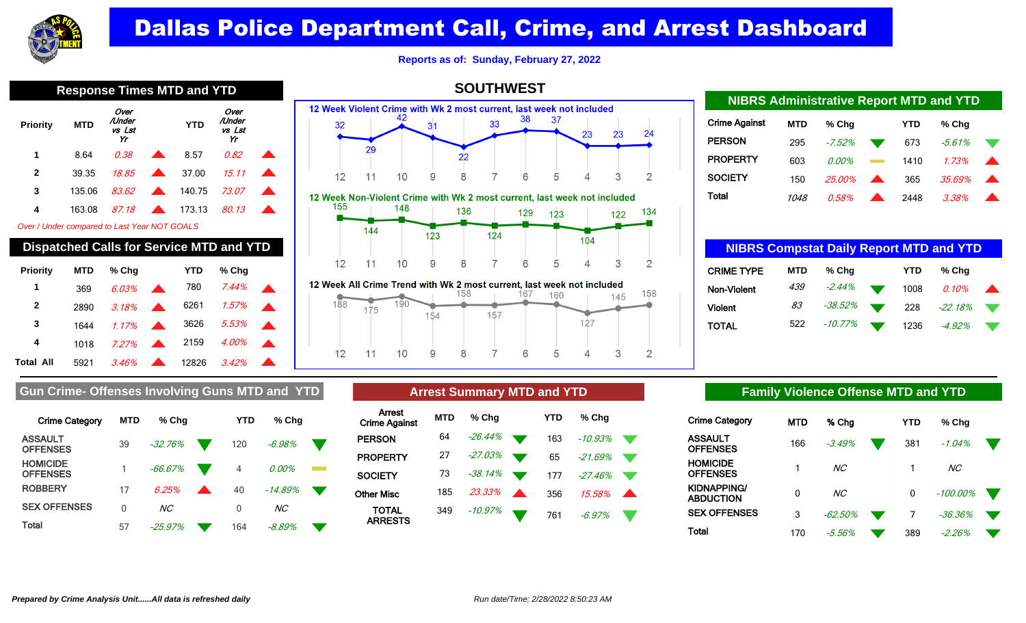

**Reports as of: Sunday, February 27, 2022**

**SOUTHWEST**

| -----<br>---    |            |                                |                  |            |                                |  |  |  |
|-----------------|------------|--------------------------------|------------------|------------|--------------------------------|--|--|--|
| <b>Priority</b> | <b>MTD</b> | Over<br>/Under<br>vs Lst<br>Yr |                  | <b>YTD</b> | Over<br>/Under<br>vs Lst<br>Yr |  |  |  |
| 1               | 8.64       | 0.38                           |                  | 8.57       | 0.82                           |  |  |  |
| $\mathbf{2}$    | 39.35      | 18.85                          | $\blacktriangle$ | 37.00      | 15.11                          |  |  |  |
| 3               | 135.06     | 83.62                          | $\blacktriangle$ | 140.75     | 73.07                          |  |  |  |
| 4               | 163.08     | 87.18                          |                  | 173.13     | 80.13                          |  |  |  |
|                 |            |                                |                  |            |                                |  |  |  |

Over / Under compared to Last Year NOT GOALS

| <b>Dispatched Calls for Service MTD and YTD</b> |            |        |                          |       |       |  |  |  |  |
|-------------------------------------------------|------------|--------|--------------------------|-------|-------|--|--|--|--|
| Priority                                        | <b>MTD</b> | % Cha  |                          | YTD   | % Cha |  |  |  |  |
| 1                                               | 369        | 6.03%  |                          | 780   | 7.44% |  |  |  |  |
| $\mathbf{2}$                                    | 2890       | .3.18% |                          | 6261  | 1.57% |  |  |  |  |
| 3                                               | 1644       | 1.17%  | $\overline{\phantom{a}}$ | 3626  | 5.53% |  |  |  |  |
| 4                                               | 1018       | 7.27%  | $\blacktriangle$         | 2159  | 4.00% |  |  |  |  |
| Total All                                       | 5921       | 3.46%  |                          | 12826 | 3.42% |  |  |  |  |









| <u>MUNO AUMINISTIQUE REPORTIBLE CHUI I I D</u> |            |          |                  |      |          |  |  |  |  |
|------------------------------------------------|------------|----------|------------------|------|----------|--|--|--|--|
| Crime Against                                  | <b>MTD</b> | $%$ Chq  |                  | YTD  | % Chg    |  |  |  |  |
| <b>PERSON</b>                                  | 295        | $-7.52%$ |                  | 673  | $-5.61%$ |  |  |  |  |
| <b>PROPERTY</b>                                | 603        | $0.00\%$ |                  | 1410 | 1.73%    |  |  |  |  |
| SOCIETY                                        | 150        | 25.00%   | $\blacktriangle$ | 365  | 35.69%   |  |  |  |  |
| Total                                          | 1048       | 0.58%    |                  | 2448 | 3.38%    |  |  |  |  |

**NIBRS Administrative Report MTD and YTD**

| <b>NIBRS Compstat Daily Report MTD and YTD</b> |            |            |  |            |           |  |  |  |
|------------------------------------------------|------------|------------|--|------------|-----------|--|--|--|
| <b>CRIME TYPE</b>                              | <b>MTD</b> | % Chq      |  | <b>YTD</b> | % Cha     |  |  |  |
| Non-Violent                                    | 439        | $-2.44\%$  |  | 1008       | $0.10\%$  |  |  |  |
| Violent                                        | 83         | -38.52%    |  | 228        | $-22.18%$ |  |  |  |
| TOTAL                                          | 522        | $-10.77\%$ |  | 1236       | $-4.92\%$ |  |  |  |

### Gun Crime- Offenses Involving Guns MTD and YTD **Arrest Summary MTD and YTD Family Violence Offense MTD and YTD**

| <b>Crime Category</b>              | <b>MTD</b> | % Cha     | YTD | % Cha           |  |
|------------------------------------|------------|-----------|-----|-----------------|--|
| <b>ASSAULT</b><br><b>OFFENSES</b>  | 39         | $-32.76%$ | 120 | $-6.98\%$       |  |
| <b>HOMICIDE</b><br><b>OFFENSES</b> |            | $-66.67%$ | 4   | $0.00\%$        |  |
| <b>ROBBERY</b>                     | 17         | 6.25%     | 40  | $-14.89%$       |  |
| <b>SEX OFFENSES</b>                | 0          | ΝC        | 0   | NC <sub>1</sub> |  |
| Total                              | 57         | $-25.97%$ | 164 | -8.89%          |  |

## **Arrest Summary MTD and YTD**

| <b>MTD</b> | % Cha   | YTD | % Chq     |  |
|------------|---------|-----|-----------|--|
| 64         | -26.44% | 163 | $-10.93%$ |  |
| 27         | -27.03% | 65  | $-21.69%$ |  |
| 73         | -38.14% | 177 | $-27.46%$ |  |
| 185        | 23.33%  | 356 | 15.58%    |  |
| 349        | -10.97% | 761 | $-6.97%$  |  |
|            |         |     |           |  |

| Crime Category           | <b>MTD</b> | % Cha          | YTD | % Cha          |  |
|--------------------------|------------|----------------|-----|----------------|--|
| ASSAULT<br>OFFENSES      | 166        | $-3.49%$       | 381 | $-1.04%$       |  |
| HOMICIDE<br>OFFENSES     |            | NC <sub></sub> |     | NC <sub></sub> |  |
| KIDNAPPING/<br>ABDUCTION | 0          | NC <sub></sub> | 0   | $-100.00\%$    |  |
| <b>SEX OFFENSES</b>      | 3          | $-62.50\%$     |     | $-36.36\%$     |  |
| Total                    | 170        | -5.56%         | 389 | -2.26%         |  |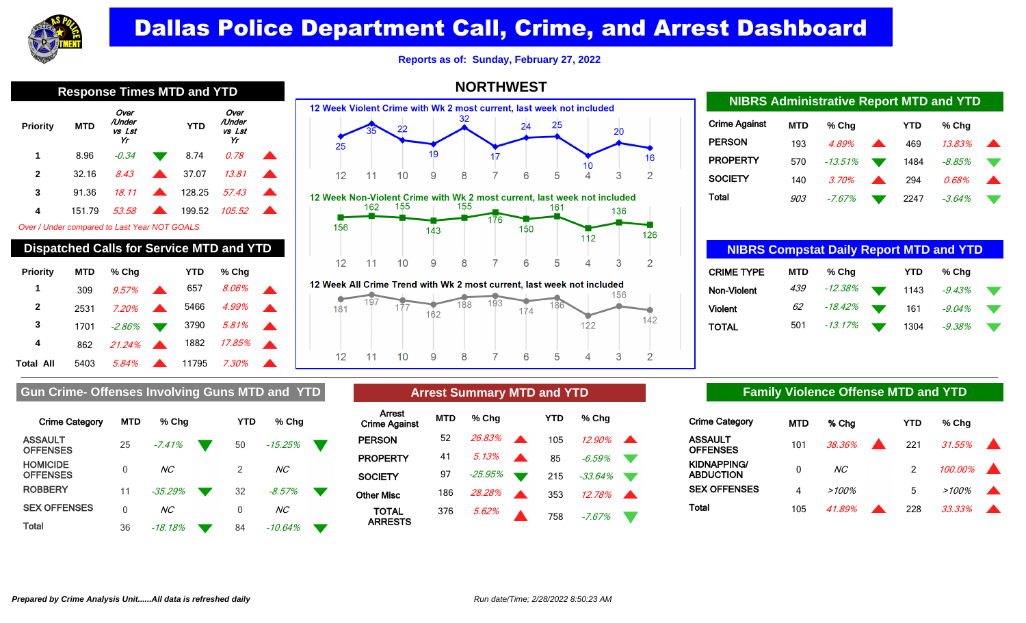

**Reports as of: Sunday, February 27, 2022**

**NORTHWEST**

|                                                 | <b>Response Times MTD and YTD</b> |                                |  |            |                                |  |  |  |  |  |
|-------------------------------------------------|-----------------------------------|--------------------------------|--|------------|--------------------------------|--|--|--|--|--|
| Priority                                        | <b>MTD</b>                        | Over<br>/Under<br>vs Lst<br>Yr |  | <b>YTD</b> | Over<br>/Under<br>vs Lst<br>Yr |  |  |  |  |  |
| 1                                               | 8.96                              | -0.34                          |  | 8.74       | O. 78                          |  |  |  |  |  |
| $\mathbf{2}$                                    | 32.16                             | 8.43                           |  | 37.07      | 13.81                          |  |  |  |  |  |
| 3                                               | 91.36                             | 18.11                          |  | 128.25     | 57.43                          |  |  |  |  |  |
| 4                                               | 151.79                            | 53.58                          |  | 199.52     | 105.52                         |  |  |  |  |  |
| Over / Under compared to Last Year NOT GOALS    |                                   |                                |  |            |                                |  |  |  |  |  |
| <b>Dispatched Calls for Service MTD and YTD</b> |                                   |                                |  |            |                                |  |  |  |  |  |
| <b>Priority</b>                                 | MTD                               | % Cha                          |  | YTD        | % Cha                          |  |  |  |  |  |



12 Week All Crime Trend with Wk 2 most current, last week not included

ARRESTS



| <b>NIBRS Administrative Report MTD and YTD</b> |            |            |  |      |           |  |  |  |  |
|------------------------------------------------|------------|------------|--|------|-----------|--|--|--|--|
| <b>Crime Against</b>                           | <b>MTD</b> | % Cha      |  | YTD  | % Cha     |  |  |  |  |
| <b>PERSON</b>                                  | 193        | 4.89%      |  | 469  | 13.83%    |  |  |  |  |
| <b>PROPERTY</b>                                | 570        | $-13.51\%$ |  | 1484 | $-8.85\%$ |  |  |  |  |
| <b>SOCIETY</b>                                 | 140        | 3.70%      |  | 294  | 0.68%     |  |  |  |  |
| Total                                          | 903        | $-7.67%$   |  | 2247 | $-3.64\%$ |  |  |  |  |

| <b>NIBRS Compstat Daily Report MTD and YTD</b> |            |            |  |      |           |  |  |  |  |
|------------------------------------------------|------------|------------|--|------|-----------|--|--|--|--|
| <b>CRIME TYPE</b>                              | <b>MTD</b> | % Cha      |  | YTD  | % Cha     |  |  |  |  |
| Non-Violent                                    | 439        | $-12.38\%$ |  | 1143 | $-9.43%$  |  |  |  |  |
| <b>Violent</b>                                 | 62         | -18.42%    |  | 161  | $-9.04%$  |  |  |  |  |
| TOTAL                                          | 501        | $-13.17\%$ |  | 1304 | $-9.38\%$ |  |  |  |  |

### Gun Crime- Offenses Involving Guns MTD and YTD **Arrest Summary MTD and YTD Family Violence Offense MTD and YTD**

| <b>Crime Category</b>              | <b>MTD</b> | % Chq           | YTD | $%$ Chq        |  |
|------------------------------------|------------|-----------------|-----|----------------|--|
| <b>ASSAULT</b><br><b>OFFENSES</b>  | 25         | $-7.41%$        | 50  | $-15.25%$      |  |
| <b>HOMICIDE</b><br><b>OFFENSES</b> | 0          | NC <sub>1</sub> | 2   | NC <sub></sub> |  |
| <b>ROBBERY</b>                     | 11         | $-35.29%$       | 32  | $-8.57\%$      |  |
| <b>SEX OFFENSES</b>                | 0          | NC <sub>1</sub> | 0   | NC <sub></sub> |  |
| Total                              | 36         | -18.18%         | 84  | -10.64%        |  |

| <b>Arrest Summary MTD and YTD</b> |            |         |  |     |           |  |  |  |  |  |
|-----------------------------------|------------|---------|--|-----|-----------|--|--|--|--|--|
| Arrest<br><b>Crime Against</b>    | <b>MTD</b> | % Chq   |  | YTD | % Cha     |  |  |  |  |  |
| <b>PERSON</b>                     | 52         | 26.83%  |  | 105 | $12.90\%$ |  |  |  |  |  |
| <b>PROPERTY</b>                   | 41         | 5.13%   |  | 85  | $-6.59\%$ |  |  |  |  |  |
| <b>SOCIETY</b>                    | 97         | -25.95% |  | 215 | $-33.64%$ |  |  |  |  |  |
| Other Misc                        | 186        | 28.28%  |  | 353 | 12.78%    |  |  |  |  |  |
| TOTAL<br><b>ADDECTS</b>           | 376        | 5.62%   |  | 758 | $-7.67%$  |  |  |  |  |  |

| <b>Crime Category</b>      | <b>MTD</b> | % Cha          | <b>YTD</b> | % Cha    |  |
|----------------------------|------------|----------------|------------|----------|--|
| ASSAULT<br><b>OFFENSES</b> | 101        | 38.36% 221     |            | 31.55%   |  |
| KIDNAPPING/<br>ABDUCTION   | 0          | NC <sub></sub> |            | 100.00%  |  |
| <b>SEX OFFENSES</b>        | 4          | $>100\%$       | 5          | $>100\%$ |  |
| Total                      | 105        | 41.89%         | 228        | 33.33%   |  |

Total All 5403 5.84% **11795** 7.30%

 309 9.57% 657 8.06% 2531 7.20% 5466 4.99% 1701 -2.86% 3790 5.81% 862 21.24% 1882 17.85%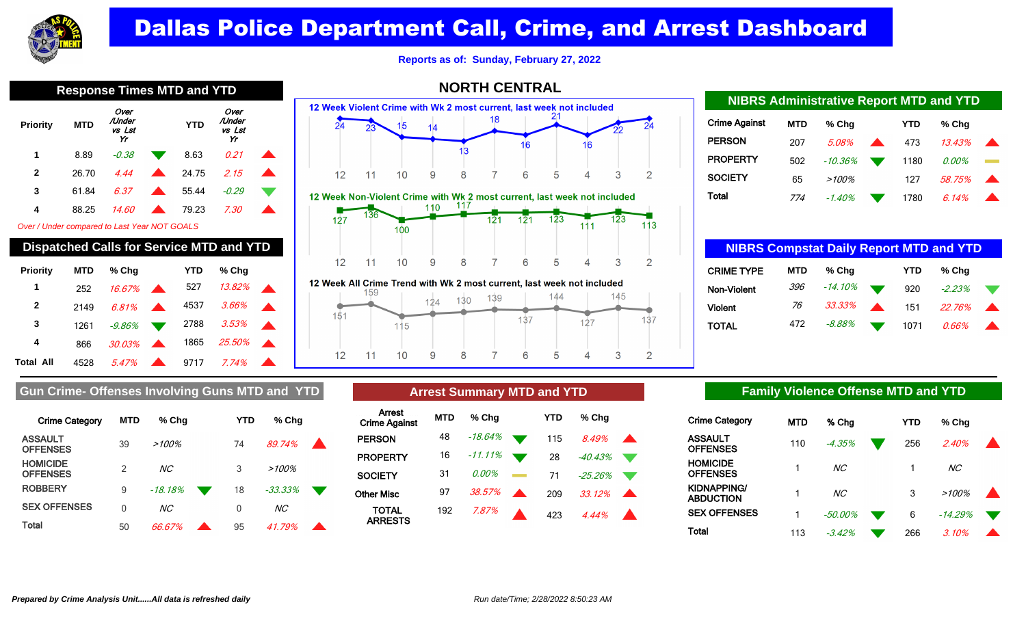

**Reports as of: Sunday, February 27, 2022**

| <b>Response Times MTD and</b>                |            |                                |  |            |                                |  |  |  |  |  |
|----------------------------------------------|------------|--------------------------------|--|------------|--------------------------------|--|--|--|--|--|
| <b>Priority</b>                              | <b>MTD</b> | Over<br>/Under<br>vs Lst<br>Yr |  | <b>YTD</b> | Over<br>/Under<br>vs Lst<br>Yr |  |  |  |  |  |
| 1                                            | 8.89       | $-0.38$                        |  | 8.63       | 0.21                           |  |  |  |  |  |
| 2                                            | 26.70      | 4.44                           |  | 24.75      | 2.15                           |  |  |  |  |  |
| 3                                            | 61.84      | 6.37                           |  | 55.44      | -0.29                          |  |  |  |  |  |
| 4                                            | 88.25      | <i>14.60</i>                   |  | 79.23      | 7.30                           |  |  |  |  |  |
| Over / Under compared to Last Year NOT GOALS |            |                                |  |            |                                |  |  |  |  |  |
|                                              |            |                                |  |            |                                |  |  |  |  |  |

| <b>Dispatched Calls for Service MTD and YTD</b> |            |           |  |      |               |  |  |  |  |
|-------------------------------------------------|------------|-----------|--|------|---------------|--|--|--|--|
| <b>Priority</b>                                 | <b>MTD</b> | % Chq     |  | YTD  | % Cha         |  |  |  |  |
| 1                                               | 252        | 16.67%    |  | 527  | 13.82%        |  |  |  |  |
| 2                                               | 2149       | 6.81%     |  | 4537 | 3.66%         |  |  |  |  |
| 3                                               | 1261       | -9.86%    |  | 2788 | 3.53%         |  |  |  |  |
| 4                                               | 866        | $30.03\%$ |  | 1865 | <i>25.50%</i> |  |  |  |  |
| Total All                                       | 4528       | 5.47%     |  | 9717 | 7.74%         |  |  |  |  |



8

9

 $12$ 

 $11$ 

 $10$ 

## Crime Against **MTD % Chg YTD % Chg PERSON** 207 5.08% 473 13.43% **PROPERTY** 502 -10.36% 1180 0.00% SOCIETY 65 >100% 127 58.75% Total 774 -1.40% 1780 6.14% **NIBRS Administrative Report MTD and YTD**

| <b>NIBRS Compstat Daily Report MTD and YTD</b> |            |         |                  |            |          |  |  |  |
|------------------------------------------------|------------|---------|------------------|------------|----------|--|--|--|
| <b>CRIME TYPE</b>                              | <b>MTD</b> | % Chq   |                  | <b>YTD</b> | % Cha    |  |  |  |
| Non-Violent                                    | 396        | -14.10% |                  | 920        | $-2.23%$ |  |  |  |
| <b>Violent</b>                                 | 76         | 33.33%  | $\blacktriangle$ | 151        | 22.76%   |  |  |  |
| TOTAL                                          | 472        | -8.88%  |                  | 1071       | 0.66%    |  |  |  |

### Gun Crime- Offenses Involving Guns MTD and YTD **Arrest Summary MTD and YTD Family Violence Offense MTD and YTD**

| <b>Crime Category</b>              | <b>MTD</b>    | % Cha          | YTD | % Cha           |  |
|------------------------------------|---------------|----------------|-----|-----------------|--|
| <b>ASSAULT</b><br><b>OFFENSES</b>  | 39            | $>100\%$       | 74  | 89.74%          |  |
| <b>HOMICIDE</b><br><b>OFFENSES</b> | $\mathcal{P}$ | NC.            | 3   | $>100\%$        |  |
| <b>ROBBERY</b>                     | 9             | $-18.18%$      | 18  | $-33.33\%$      |  |
| <b>SEX OFFENSES</b>                | U             | NC <sub></sub> | 0   | NC <sub>1</sub> |  |
| Total                              | 50            | 66.67%         | 95  | 41 79%          |  |

## **Arrest Summary MTD and YTD**

7

6

5

 $\overline{4}$ 

3

 $\overline{2}$ 

| <b>MTD</b> | % Cha    |                 | YTD | % Chq   |                  |  |
|------------|----------|-----------------|-----|---------|------------------|--|
| 48         | -18.64%  |                 | 115 | 8.49%   |                  |  |
|            |          | $\blacksquare$  | 28  | -40.43% |                  |  |
| 31         | $0.00\%$ | <b>Contract</b> | 71  | -25.26% |                  |  |
| 97         | 38.57%   |                 | 209 | 33.12%  | $\blacktriangle$ |  |
| 192        | 7.87%    |                 | 423 | 4.44%   |                  |  |
|            |          | 16 - 11.11%     |     |         |                  |  |

| Crime Category             | MTD | % Cha           | YTD | % Chq           |  |
|----------------------------|-----|-----------------|-----|-----------------|--|
| ASSAULT<br><b>OFFENSES</b> | 110 | $-4.35%$        | 256 | 2.40%           |  |
| HOMICIDE<br>OFFENSES       |     | NC <sub></sub>  |     | NC <sub>1</sub> |  |
| KIDNAPPING/<br>ABDUCTION   |     | NC <sub>1</sub> | 3   | >100%           |  |
| <b>SEX OFFENSES</b>        |     | $-50.00\%$      | 6   | $-14.29%$       |  |
| Total                      | 113 | $-3.42%$        | 266 | 3.10%           |  |